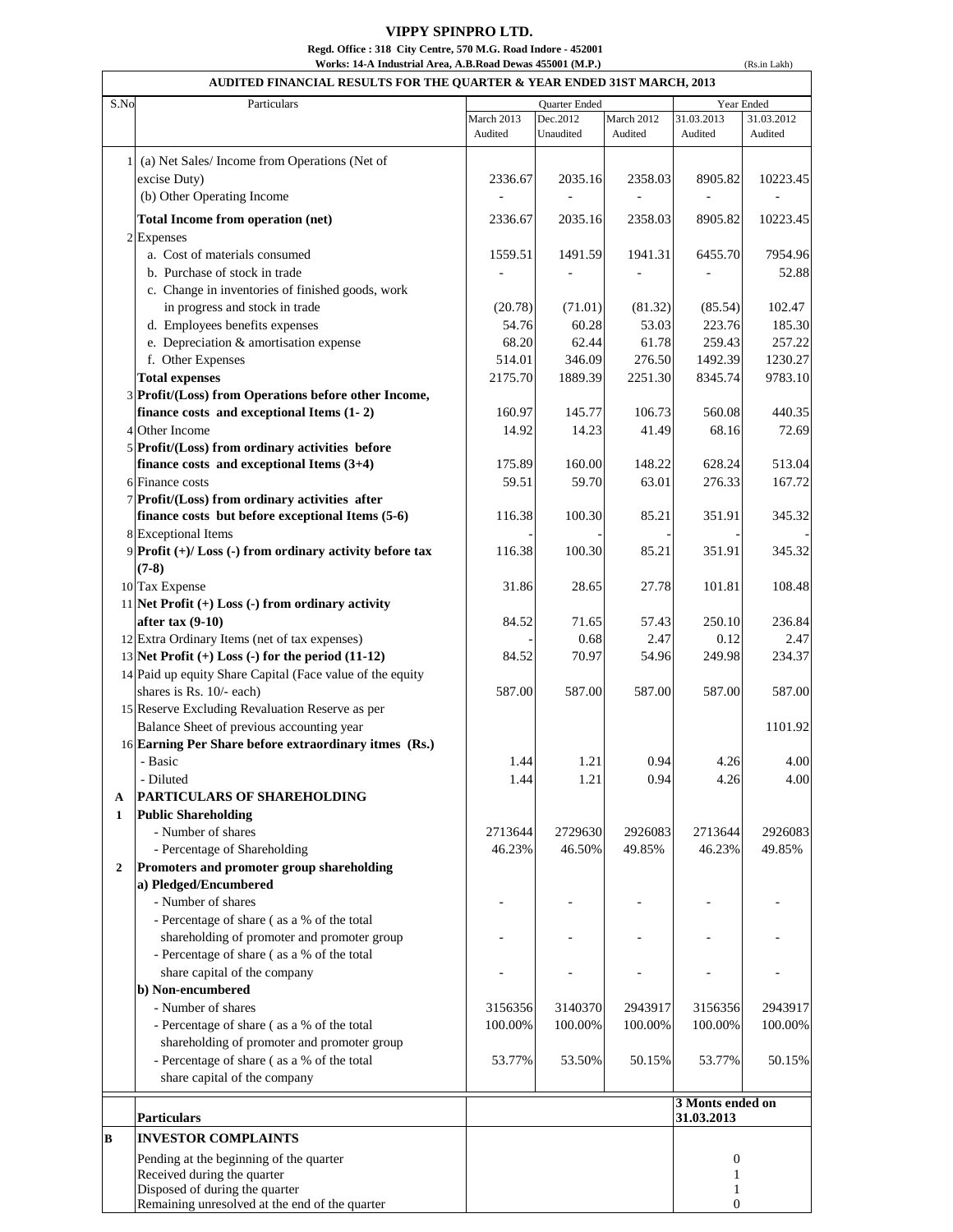## **VIPPY SPINPRO LTD. Regd. Office : 318 City Centre, 570 M.G. Road Indore - 452001 Works: 14-A Industrial Area, A.B.Road Dewas 455001 (M.P.)**

(Rs.in Lakh)

| S.No<br>Particulars                                        |            | Quarter Ended |            |                  | Year Ended |
|------------------------------------------------------------|------------|---------------|------------|------------------|------------|
|                                                            | March 2013 | Dec.2012      | March 2012 | 31.03.2013       | 31.03.2012 |
|                                                            | Audited    | Unaudited     | Audited    | Audited          | Audited    |
| (a) Net Sales/Income from Operations (Net of               |            |               |            |                  |            |
| excise Duty)                                               | 2336.67    | 2035.16       | 2358.03    | 8905.82          | 10223.45   |
| (b) Other Operating Income                                 |            |               |            |                  |            |
| <b>Total Income from operation (net)</b>                   | 2336.67    | 2035.16       | 2358.03    | 8905.82          | 10223.45   |
| 2 Expenses                                                 |            |               |            |                  |            |
| a. Cost of materials consumed                              | 1559.51    | 1491.59       | 1941.31    | 6455.70          | 7954.96    |
| b. Purchase of stock in trade                              |            |               |            |                  | 52.88      |
| c. Change in inventories of finished goods, work           |            |               |            |                  |            |
| in progress and stock in trade                             | (20.78)    | (71.01)       | (81.32)    | (85.54)          | 102.47     |
| d. Employees benefits expenses                             | 54.76      | 60.28         | 53.03      | 223.76           | 185.30     |
| e. Depreciation & amortisation expense                     | 68.20      | 62.44         | 61.78      | 259.43           | 257.22     |
| f. Other Expenses                                          | 514.01     | 346.09        | 276.50     | 1492.39          | 1230.27    |
| <b>Total expenses</b>                                      | 2175.70    | 1889.39       | 2251.30    | 8345.74          | 9783.10    |
| 3 Profit/(Loss) from Operations before other Income,       |            |               |            |                  |            |
| finance costs and exceptional Items (1-2)                  | 160.97     | 145.77        | 106.73     | 560.08           | 440.35     |
| 4 Other Income                                             |            |               | 41.49      |                  | 72.69      |
| 5 Profit/(Loss) from ordinary activities before            | 14.92      | 14.23         |            | 68.16            |            |
| finance costs and exceptional Items $(3+4)$                | 175.89     | 160.00        | 148.22     | 628.24           | 513.04     |
| 6 Finance costs                                            | 59.51      | 59.70         | 63.01      | 276.33           | 167.72     |
| 7 Profit/(Loss) from ordinary activities after             |            |               |            |                  |            |
| finance costs but before exceptional Items (5-6)           | 116.38     | 100.30        | 85.21      | 351.91           | 345.32     |
| 8 Exceptional Items                                        |            |               |            |                  |            |
| $9$ Profit (+)/ Loss (-) from ordinary activity before tax | 116.38     | 100.30        | 85.21      | 351.91           | 345.32     |
| $(7-8)$                                                    |            |               |            |                  |            |
| 10 Tax Expense                                             | 31.86      | 28.65         | 27.78      | 101.81           | 108.48     |
| 11 Net Profit $(+)$ Loss $(-)$ from ordinary activity      |            |               |            |                  |            |
| after $\text{tax}(9-10)$                                   | 84.52      | 71.65         | 57.43      | 250.10           | 236.84     |
| 12 Extra Ordinary Items (net of tax expenses)              |            | 0.68          | 2.47       | 0.12             | 2.47       |
| 13 Net Profit $(+)$ Loss $(-)$ for the period $(11-12)$    | 84.52      | 70.97         | 54.96      | 249.98           | 234.37     |
| 14 Paid up equity Share Capital (Face value of the equity  |            |               |            |                  |            |
| shares is Rs. 10/- each)                                   | 587.00     | 587.00        | 587.00     | 587.00           | 587.00     |
| 15 Reserve Excluding Revaluation Reserve as per            |            |               |            |                  |            |
| Balance Sheet of previous accounting year                  |            |               |            |                  | 1101.92    |
| 16 Earning Per Share before extraordinary itmes (Rs.)      |            |               |            |                  |            |
| - Basic                                                    | 1.44       | 1.21          | 0.94       | 4.26             | 4.00       |
| - Diluted                                                  | 1.44       | 1.21          | 0.94       | 4.26             | 4.00       |
| PARTICULARS OF SHAREHOLDING<br>A                           |            |               |            |                  |            |
| <b>Public Shareholding</b><br>$\mathbf{1}$                 |            |               |            |                  |            |
| - Number of shares                                         | 2713644    | 2729630       | 2926083    | 2713644          | 2926083    |
| - Percentage of Shareholding                               | 46.23%     | 46.50%        | 49.85%     | 46.23%           | 49.85%     |
| Promoters and promoter group shareholding<br>$\mathbf{2}$  |            |               |            |                  |            |
| a) Pledged/Encumbered                                      |            |               |            |                  |            |
| - Number of shares                                         |            |               |            |                  |            |
| - Percentage of share (as a % of the total                 |            |               |            |                  |            |
| shareholding of promoter and promoter group                |            |               |            |                  |            |
| - Percentage of share (as a % of the total                 |            |               |            |                  |            |
| share capital of the company                               |            |               |            |                  |            |
| b) Non-encumbered                                          |            |               |            |                  |            |
| - Number of shares                                         | 3156356    | 3140370       | 2943917    | 3156356          | 2943917    |
| - Percentage of share (as a % of the total                 | 100.00%    | 100.00%       | 100.00%    | 100.00%          | 100.00%    |
| shareholding of promoter and promoter group                |            |               |            |                  |            |
| - Percentage of share (as a % of the total                 | 53.77%     | 53.50%        | 50.15%     | 53.77%           | 50.15%     |
| share capital of the company                               |            |               |            |                  |            |
|                                                            |            |               |            | 3 Monts ended on |            |
| <b>Particulars</b>                                         |            |               |            | 31.03.2013       |            |
| <b>INVESTOR COMPLAINTS</b><br>B                            |            |               |            |                  |            |
| Pending at the beginning of the quarter                    |            |               |            | $\boldsymbol{0}$ |            |
| Received during the quarter                                |            |               |            | 1                |            |
| Disposed of during the quarter                             |            |               |            | 1                |            |
| Remaining unresolved at the end of the quarter             |            |               |            | $\overline{0}$   |            |